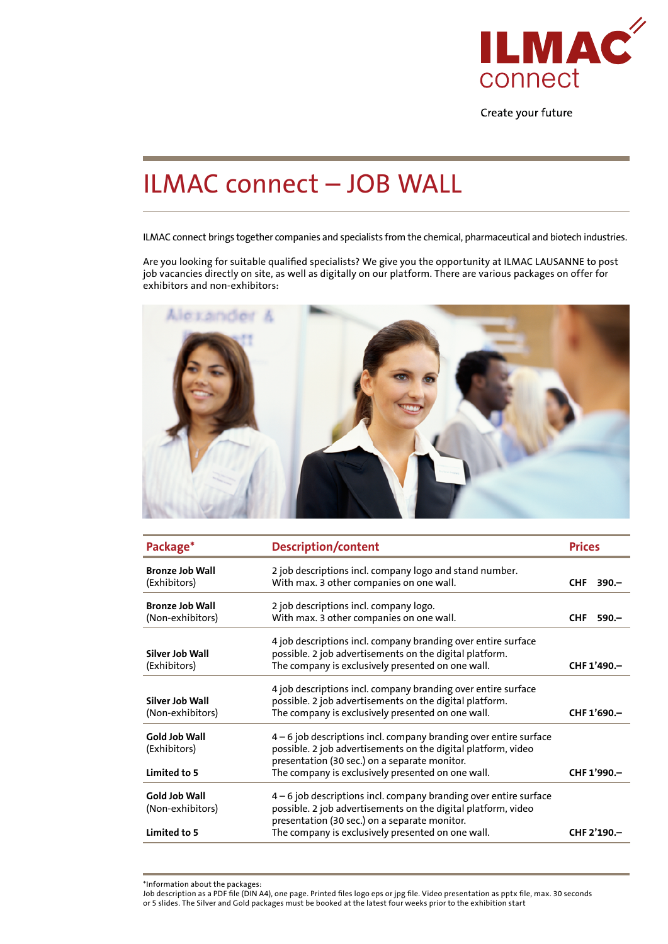

Create your future

## ILMAC connect – JOB WALL

ILMAC connect brings together companies and specialists from the chemical, pharmaceutical and biotech industries.

Are you looking for suitable qualified specialists? We give you the opportunity at ILMAC LAUSANNE to post job vacancies directly on site, as well as digitally on our platform. There are various packages on offer for exhibitors and non-exhibitors:



| Package*                                          | <b>Description/content</b>                                                                                                                                                                                                               | <b>Prices</b> |             |
|---------------------------------------------------|------------------------------------------------------------------------------------------------------------------------------------------------------------------------------------------------------------------------------------------|---------------|-------------|
| <b>Bronze Job Wall</b><br>(Exhibitors)            | 2 job descriptions incl. company logo and stand number.<br>With max. 3 other companies on one wall.                                                                                                                                      | <b>CHF</b>    | $390 -$     |
| <b>Bronze Job Wall</b><br>(Non-exhibitors)        | 2 job descriptions incl. company logo.<br>With max. 3 other companies on one wall.                                                                                                                                                       | <b>CHF</b>    | $590 -$     |
| Silver Job Wall<br>(Exhibitors)                   | 4 job descriptions incl. company branding over entire surface<br>possible. 2 job advertisements on the digital platform.<br>The company is exclusively presented on one wall.                                                            |               | CHF 1'490.- |
| Silver Job Wall<br>(Non-exhibitors)               | 4 job descriptions incl. company branding over entire surface<br>possible. 2 job advertisements on the digital platform.<br>The company is exclusively presented on one wall.                                                            |               | CHF 1'690.- |
| Gold Job Wall<br>(Exhibitors)<br>Limited to 5     | $4-6$ job descriptions incl. company branding over entire surface<br>possible. 2 job advertisements on the digital platform, video<br>presentation (30 sec.) on a separate monitor.<br>The company is exclusively presented on one wall. |               | CHF 1'990.- |
| Gold Job Wall<br>(Non-exhibitors)<br>Limited to 5 | $4-6$ job descriptions incl. company branding over entire surface<br>possible. 2 job advertisements on the digital platform, video<br>presentation (30 sec.) on a separate monitor.<br>The company is exclusively presented on one wall. |               | CHF 2'190.- |

<sup>\*</sup>Information about the packages:

Job description as a PDF file (DIN A4), one page. Printed files logo eps or jpg file. Video presentation as pptx file, max. 30 seconds or 5 slides. The Silver and Gold packages must be booked at the latest four weeks prior to the exhibition start